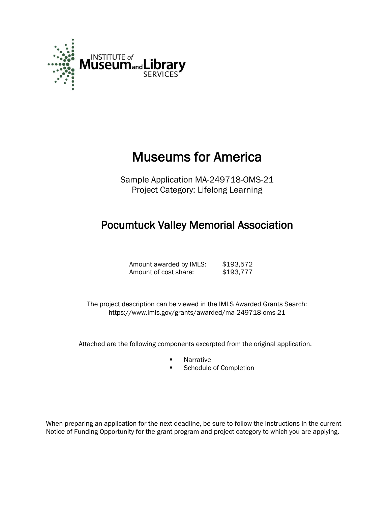

# Museums for America

Sample Application MA-249718-OMS-21 Project Category: Lifelong Learning

## Pocumtuck Valley Memorial Association

Amount awarded by IMLS: \$193,572 Amount of cost share: \$193,777

 The project description can be viewed in the IMLS Awarded Grants Search: <https://www.imls.gov/grants/awarded/ma-249718-oms-21>

Attached are the following components excerpted from the original application.

- **Narrative**
- **EXECUTE:** Schedule of Completion

When preparing an application for the next deadline, be sure to follow the instructions in the current Notice of Funding Opportunity for the grant program and project category to which you are applying.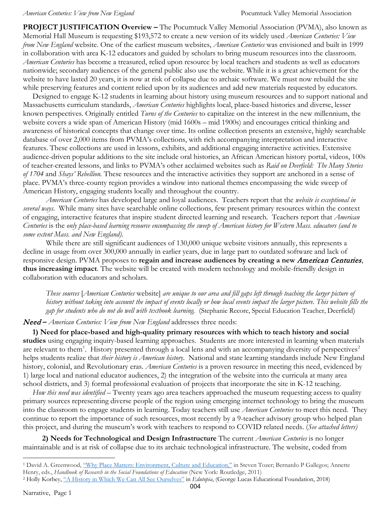**PROJECT JUSTIFICATION Overview –** The Pocumtuck Valley Memorial Association (PVMA), also known as Memorial Hall Museum is requesting \$193,572 to create a new version of its widely used *American Centuries: View from New England* website. One of the earliest museum websites, *American Centuries* was envisioned and built in 1999 in collaboration with area K-12 educators and guided by scholars to bring museum resources into the classroom. *American Centuries* has become a treasured, relied upon resource by local teachers and students as well as educators nationwide; secondary audiences of the general public also use the website. While it is a great achievement for the website to have lasted 20 years, it is now at risk of collapse due to archaic software. We must now rebuild the site while preserving features and content relied upon by its audiences and add new materials requested by educators.

 Designed to engage K-12 students in learning about history using museum resources and to support national and Massachusetts curriculum standards, *American Centuries* highlights local, place-based histories and diverse, lesser known perspectives. Originally entitled *Turns of the Centuries* to capitalize on the interest in the new millennium, the website covers a wide span of American History (mid 1600s – mid 1900s) and encourages critical thinking and awareness of historical concepts that change over time. Its online collection presents an extensive, highly searchable database of over 2,000 items from PVMA's collections, with rich accompanying interpretation and interactive features. These collections are used in lessons, exhibits, and additional engaging interactive activities. Extensive audience-driven popular additions to the site include oral histories, an African American history portal, videos, 100s of teacher-created lessons, and links to PVMA's other acclaimed websites such as *Raid on Deerfield: The Many Stories of 1704* and *Shays' Rebellion.* These resources and the interactive activities they support are anchored in a sense of place. PVMA's three-county region provides a window into national themes encompassing the wide sweep of American History, engaging students locally and throughout the country.

*American Centuries* has developed large and loyal audiences. Teachers report that the *website is exceptional in several ways*. While many sites have searchable online collections, few present primary resources within the context of engaging, interactive features that inspire student directed learning and research*.* Teachers report that *American Centuries* is the *only place-based learning resource encompassing the sweep of American history for Western Mass. educators (and to some extent Mass. and New England)*.

While there are still significant audiences of 130,000 unique website visitors annually, this represents a decline in usage from over 300,000 annually in earlier years, due in large part to outdated software and lack of responsive design. PVMA proposes to **regain and increase audiences by creating a new** American Centuries, **thus increasing impact**. The website will be created with modern technology and mobile-friendly design in collaboration with educators and scholars.

*These sources* [*American Centuries* website] *are unique to our area and fill gaps left through teaching the larger picture of history without taking into account the impact of events locally or how local events impact the larger picture. This website fills the gap for students who do not do well with textbook learning.* (Stephanie Recore, Special Education Teacher, Deerfield)

#### Need **–** *American Centuries: View from New England* addresses three needs:

 **1) Need for place-based and high-quality primary resources with which to teach history and social studies** using engaging inquiry-based learning approaches. Students are more interested in learning when materials are relevant to them<sup>[1](#page-1-0)</sup>. History presented through a local lens and with an accompanying diversity of perspectives<sup>[2](#page-1-1)</sup> helps students realize that *their history is American history*. National and state learning standards include New England history, colonial, and Revolutionary eras. *American Centuries* is a proven resource in meeting this need, evidenced by 1) large local and national educator audiences, 2) the integration of the website into the curricula at many area school districts, and 3) formal professional evaluation of projects that incorporate the site in K-12 teaching.

 *How this need was identified –* Twenty years ago area teachers approached the museum requesting access to quality primary sources representing diverse people of the region using emerging internet technology to bring the museum into the classroom to engage students in learning. Today teachers still use *American Centuries* to meet this need. They continue to report the importance of such resources, most recently by a 9-teacher advisory group who helped plan this project, and during the museum's work with teachers to respond to COVID related needs. (*See attached letters)*

 **2) Needs for Technological and Design Infrastructure** The current *American Centuries* is no longer maintainable and is at risk of collapse due to its archaic technological infrastructure. The website, coded from

 $\overline{a}$ 

<span id="page-1-0"></span><sup>1</sup> David A. Greenwood, ["Why Place Matters: Environment, Culture and Education,"](https://www.routledgehandbooks.com/doi/10.4324/9780203874837.ch50) in Steven Tozer; Bernardo P Gallegos; Annette Henry, eds., *Handbook of Research in the Social Foundations of Education* (New York: Routledge, 2011)

<span id="page-1-1"></span><sup>2</sup> Holly Korbey, ["A History in Which We Can All See Ourselves"](https://www.edutopia.org/article/history-which-we-can-all-see-ourselves) in *Edutopia*, (George Lucas Educational Foundation, 2018)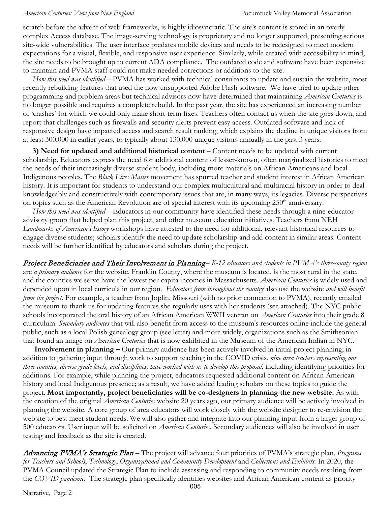#### *American Centuries: View from New England* Pocumtuck Valley Memorial Association

scratch before the advent of web frameworks, is highly idiosyncratic. The site's content is stored in an overly complex Access database. The image-serving technology is proprietary and no longer supported, presenting serious site-wide vulnerabilities. The user interface predates mobile devices and needs to be redesigned to meet modern expectations for a visual, flexible, and responsive user experience. Similarly, while created with accessibility in mind, the site needs to be brought up to current ADA compliance. The outdated code and software have been expensive to maintain and PVMA staff could not make needed corrections or additions to the site.

 *How this need was identified –* PVMA has worked with technical consultants to update and sustain the website, most recently rebuilding features that used the now unsupported Adobe Flash software. We have tried to update other programming and problem areas but technical advisors now have determined that maintaining *American Centuries* is no longer possible and requires a complete rebuild. In the past year, the site has experienced an increasing number of 'crashes' for which we could only make short-term fixes. Teachers often contact us when the site goes down, and report that challenges such as firewalls and security alerts prevent easy access. Outdated software and lack of responsive design have impacted access and search result ranking, which explains the decline in unique visitors from at least 300,000 in earlier years, to typically about 130,000 unique visitors annually in the past 3 years.

 **3) Need for updated and additional historical content** – Content needs to be updated with current scholarship. Educators express the need for additional content of lesser-known, often marginalized histories to meet the needs of their increasingly diverse student body, including more materials on African Americans and local Indigenous peoples. The *Black Lives Matter* movement has spurred teacher and student interest in African American history. It is important for students to understand our complex multicultural and multiracial history in order to deal knowledgeably and constructively with contemporary issues that are, in many ways, its legacies. Diverse perspectives on topics such as the American Revolution are of special interest with its upcoming  $250<sup>th</sup>$  anniversary.

 *How this need was identified –* Educators in our community have identified these needs through a nine-educator advisory group that helped plan this project, and other museum education initiatives. Teachers from NEH *Landmarks of American History* workshops have attested to the need for additional, relevant historical resources to engage diverse students; scholars identify the need to update scholarship and add content in similar areas. Content needs will be further identified by educators and scholars during the project.

Project Beneficiaries and Their Involvement in Planning**–** *K-12 educators and students in PVMA's three-county region* are *a primary audience* for the website. Franklin County, where the museum is located, is the most rural in the state, and the counties we serve have the lowest per-capita incomes in Massachusetts*. American Centuries* is widely used and depended upon in local curricula in our region. *Educators from throughout the country* also use the website *and will benefit from the project*. For example, a teacher from Joplin, Missouri (with no prior connection to PVMA), recently emailed the museum to thank us for updating features she regularly uses with her students (see attached). The NYC public schools incorporated the oral history of an African American WWII veteran on *American Centuries* into their grade 8 curriculum. *Secondary audiences* that will also benefit from access to the museum's resources online include the general public, such as a local Polish genealogy group (see letter) and more widely, organizations such as the Smithsonian that found an image on *American Centuries* that is now exhibited in the Museum of the American Indian in NYC.

 **Involvement in planning –** Our primary audience has been actively involved in initial project planning; in addition to gathering input through work to support teaching in the COVID crisis, *nine area teachers representing our three counties, diverse grade levels, and disciplines, have worked with us to develop this proposal*, including identifying priorities for additions. For example, while planning the project, educators requested additional content on African American history and local Indigenous presence; as a result, we have added leading scholars on these topics to guide the project. **Most importantly, project beneficiaries will be co-designers in planning the new website.** As with the creation of the original *American Centuries* website 20 years ago, our primary audience will be actively involved in planning the website. A core group of area educators will work closely with the website designer to re-envision the website to best meet student needs. We will also gather and integrate into our planning input from a larger group of 500 educators. User input will be solicited on *American Centuries*. Secondary audiences will also be involved in user testing and feedback as the site is created.

Advancing PVMA's Strategic Plan – The project will advance four priorities of PVMA's strategic plan, *Programs for Teachers and Schools*, *Technology*, *Organizational and Community Development* and *Collections and Exhibits.* In 2020, the PVMA Council updated the Strategic Plan to include assessing and responding to community needs resulting from the *COVID pandemic*. The strategic plan specifically identifies websites and African American content as priority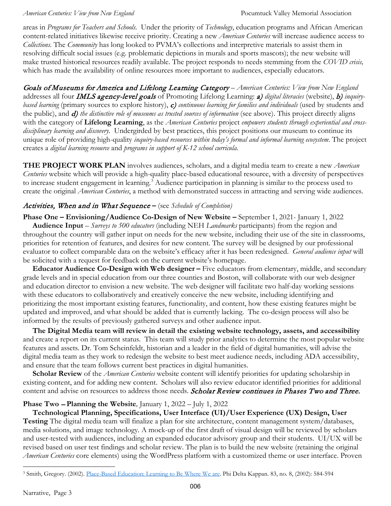areas in *Programs for Teachers and Schools.* Under the priority of *Technology*, education programs and African American content-related initiatives likewise receive priority. Creating a new *American Centuries* will increase audience access to *Collections*. The *Community* has long looked to PVMA's collections and interpretive materials to assist them in resolving difficult social issues (e.g. problematic depictions in murals and sports mascots); the new website will make trusted historical resources readily available. The project responds to needs stemming from the *COVID crisis,*  which has made the availability of online resources more important to audiences, especially educators.

Goals of Museums for America and Lifelong Learning Category – *American Centuries: View from New England* addresses all four IMLS agency-level goals of Promoting Lifelong Learning: a) *digital literacies* (website), b) *inquirybased learning* (primary sources to explore history), c) *continuous learning for families and individuals* (used by students and the public), and d) *the distinctive role of museums as trusted sources of information* (see above). This project directly aligns with the category of **Lifelong Learning**, as the *American Centuries* project *empowers students through experiential and crossdisciplinary learning and discovery*. Undergirded by best practices, this project positions our museum to continue its unique role of providing high-quality *inquiry-based resources within today's formal and informal learning ecosystem*. The project creates a *digital learning resource* and *programs in support of K-12 school curricula.*

**THE PROJECT WORK PLAN** involves audiences, scholars, and a digital media team to create a new *American Centuries* website which will provide a high-quality place-based educational resource, with a diversity of perspectives to increase student engagement in learning.<sup>[3](#page-3-0)</sup> Audience participation in planning is similar to the process used to create the original *American Centuries*, a method with demonstrated success in attracting and serving wide audiences.

## Activities, When and in What Sequence **–** (see *Schedule of Completion)*

**Phase One – Envisioning/Audience Co-Design of New Website –** September 1, 2021- January 1, 2022

 **Audience Input** – *Surveys to 500 educators* (including NEH *Landmarks* participants) from the region and throughout the country will gather input on needs for the new website, including their use of the site in classrooms, priorities for retention of features, and desires for new content. The survey will be designed by our professional evaluator to collect comparable data on the website's efficacy after it has been redesigned. *General audience input* will be solicited with a request for feedback on the current website's homepage.

 **Educator Audience Co-Design with Web designer –** Five educators from elementary, middle, and secondary grade levels and in special education from our three counties and Boston, will collaborate with our web designer and education director to envision a new website. The web designer will facilitate two half-day working sessions with these educators to collaboratively and creatively conceive the new website, including identifying and prioritizing the most important existing features, functionality, and content, how these existing features might be updated and improved, and what should be added that is currently lacking. The co-design process will also be informed by the results of previously gathered surveys and other audience input.

 **The Digital Media team will review in detail the existing website technology, assets, and accessibility** and create a report on its current status.This team will study prior analytics to determine the most popular website features and assets. Dr. Tom Scheinfeldt, historian and a leader in the field of digital humanities, will advise the digital media team as they work to redesign the website to best meet audience needs, including ADA accessibility, and ensure that the team follows current best practices in digital humanities.

 **Scholar Review** of the *American Centuries* website content will identify priorities for updating scholarship in existing content, and for adding new content. Scholars will also review educator identified priorities for additional content and advise on resources to address those needs. *Scholar Review continues in Phases Two and Three.* 

## **Phase Two** – **Planning the Website***,* January 1, 2022 – July 1, 2022

 **Technological Planning, Specifications, User Interface (UI)/User Experience (UX) Design, User Testing** The digital media team will finalize a plan for site architecture, content management system/databases, media solutions, and image technology. A mock-up of the first draft of visual design will be reviewed by scholars and user-tested with audiences, including an expanded educator advisory group and their students. UI/UX will be revised based on user test findings and scholar review. The plan is to build the new website (retaining the original *American Centuries* core elements) using the WordPress platform with a customized theme or user interface. Proven

l

<span id="page-3-0"></span><sup>3</sup> Smith, Gregory. (2002). [Place-Based Education: Learning to Be Where We are.](https://www.researchgate.net/publication/44835725_Place-Based_Education_Learning_to_Be_Where_We_are) Phi Delta Kappan. 83, no. 8, (2002): 584-594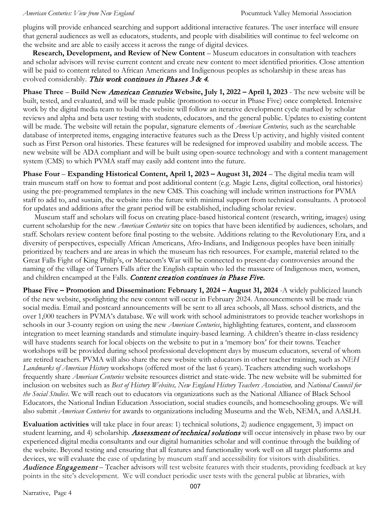#### *American Centuries: View from New England* Pocumtuck Valley Memorial Association

plugins will provide enhanced searching and support additional interactive features. The user interface will ensure that general audiences as well as educators, students, and people with disabilities will continue to feel welcome on the website and are able to easily access it across the range of digital devices.

 **Research, Development, and Review of New Content** – Museum educators in consultation with teachers and scholar advisors will revise current content and create new content to meet identified priorities. Close attention will be paid to content related to African Americans and Indigenous peoples as scholarship in these areas has evolved considerably. This work continues in Phases  $3 < 4$ .

**Phase Three – Build New** *American Centuries* **Website, July 1, 2022 – April 1, 2023** - The new website will be built, tested, and evaluated, and will be made public (promotion to occur in Phase Five) once completed. Intensive work by the digital media team to build the website will follow an iterative development cycle marked by scholar reviews and alpha and beta user testing with students, educators, and the general public. Updates to existing content will be made. The website will retain the popular, signature elements of *American Centuries,* such as the searchable database of interpreted items, engaging interactive features such as the Dress Up activity, and highly visited content such as First Person oral histories. These features will be redesigned for improved usability and mobile access. The new website will be ADA compliant and will be built using open-source technology and with a content management system (CMS) to which PVMA staff may easily add content into the future.

**Phase Four** – **Expanding Historical Content, April 1, 2023 – August 31, 2024** – The digital media team will train museum staff on how to format and post additional content (e.g. Magic Lens, digital collection, oral histories) using the pre-programmed templates in the new CMS. This coaching will include written instructions for PVMA staff to add to, and sustain, the website into the future with minimal support from technical consultants. A protocol for updates and additions after the grant period will be established, including scholar review.

 Museum staff and scholars will focus on creating place-based historical content (research, writing, images) using current scholarship for the new *American Centuries* site on topics that have been identified by audiences, scholars, and staff. Scholars review content before final posting to the website. Additions relating to the Revolutionary Era, and a diversity of perspectives, especially African Americans, Afro-Indians, and Indigenous peoples have been initially prioritized by teachers and are areas in which the museum has rich resources. For example, material related to the Great Falls Fight of King Philip's, or Metacom's War will be connected to present-day controversies around the naming of the village of Turners Falls after the English captain who led the massacre of Indigenous men, women, and children encamped at the Falls. Content creation continues in Phase Five.

**Phase Five – Promotion and Dissemination: February 1, 2024 – August 31, 2024** -A widely publicized launch of the new website, spotlighting the new content will occur in February 2024. Announcements will be made via social media. Email and postcard announcements will be sent to all area schools, all Mass. school districts, and the over 1,000 teachers in PVMA's database. We will work with school administrators to provide teacher workshops in schools in our 3-county region on using the new *American Centuries*, highlighting features, content, and classroom integration to meet learning standards and stimulate inquiry-based learning. A children's theatre in-class residency will have students search for local objects on the website to put in a 'memory box' for their towns. Teacher workshops will be provided during school professional development days by museum educators, several of whom are retired teachers. PVMA will also share the new website with educators in other teacher training, such as *NEH Landmarks of American History* workshops (offered most of the last 6 years). Teachers attending such workshops frequently share *American Centuries* website resources district and state-wide. The new website will be submitted for inclusion on websites such as *Best of History Websites, New England History Teachers Association,* and *National Council for the Social Studies*. We will reach out to educators via organizations such as the National Alliance of Black School Educators, the National Indian Education Association, social studies councils, and homeschooling groups. We will also submit *American Centuries* for awards to organizations including Museums and the Web, NEMA, and AASLH.

**Evaluation activities** will take place in four areas: 1) technical solutions, 2) audience engagement, 3) impact on student learning, and 4) scholarship. *Assessment of technical solutions* will occur intensively in phase two by our experienced digital media consultants and our digital humanities scholar and will continue through the building of the website. Beyond testing and ensuring that all features and functionality work well on all target platforms and devices, we will evaluate the ease of updating by museum staff and accessibility for visitors with disabilities. Audience Engagement – Teacher advisors will test website features with their students, providing feedback at key points in the site's development. We will conduct periodic user tests with the general public at libraries, with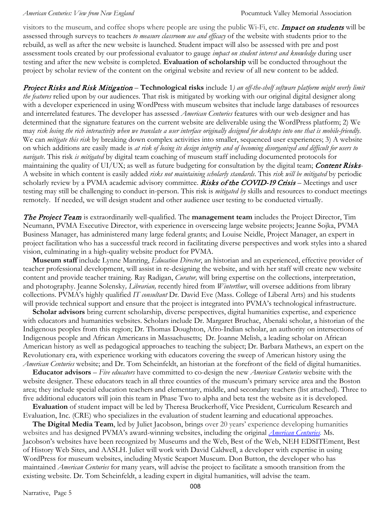visitors to the museum, and coffee shops where people are using the public Wi-Fi, etc. **Impact on students** will be assessed through surveys to teachers *to measure classroom use and efficacy* of the website with students prior to the rebuild, as well as after the new website is launched. Student impact will also be assessed with pre and post assessment tools created by our professional evaluator to gauge *impact on student interest and knowledge* during user testing and after the new website is completed. **Evaluation of scholarship** will be conducted throughout the project by scholar review of the content on the original website and review of all new content to be added.

Project Risks and Risk Mitigation – **Technological risks** include 1*) an off-the-shelf software platform might overly limit the features* relied upon by our audiences. That risk is mitigated by working with our original digital designer along with a developer experienced in using WordPress with museum websites that include large databases of resources and interrelated features. The developer has assessed *American Centuries* features with our web designer and has determined that the signature features on the current website are deliverable using the WordPress platform; 2) We may *risk losing the rich interactivity when we translate a user interface originally designed for desktops into one that is mobile-friendly*. We can *mitigate this risk* by breaking down complex activities into smaller, sequenced user experiences; 3) A website on which additions are easily made is *at risk of losing its design integrity and of becoming disorganized and difficult for users to navigate*. This risk *is mitigated* by digital team coaching of museum staff including documented protocols for maintaining the quality of UI/UX; as well as future budgeting for consultation by the digital team; Content Risks*-*A website in which content is easily added *risks not maintaining scholarly standards*. This *risk will be mitigated* by periodic scholarly review by a PVMA academic advisory committee. Risks of the COVID-19 Crisis - Meetings and user testing may still be challenging to conduct in-person. This risk is *mitigated by* skills and resources to conduct meetings remotely. If needed, we will design student and other audience user testing to be conducted virtually.

The Project Team is extraordinarily well-qualified. The **management team** includes the Project Director, Tim Neumann, PVMA Executive Director, with experience in overseeing large website projects; Jeanne Sojka, PVMA Business Manager, has administered many large federal grants; and Louise Neidle, Project Manager, an expert in project facilitation who has a successful track record in facilitating diverse perspectives and work styles into a shared vision, culminating in a high-quality website product for PVMA.

 **Museum staff** include Lynne Manring, *Education Director*, an historian and an experienced, effective provider of teacher professional development, will assist in re-designing the website, and with her staff will create new website content and provide teacher training. Ray Radigan, *Curator,* will bring expertise on the collections, interpretation, and photography. Jeanne Solensky*, Librarian,* recently hired from *Winterthur*, will oversee additions from library collections. PVMA's highly qualified *IT consultant* Dr. David Eve (Mass. College of Liberal Arts) and his students will provide technical support and ensure that the project is integrated into PVMA's technological infrastructure.

 **Scholar advisors** bring current scholarship, diverse perspectives, digital humanities expertise, and experience with educators and humanities websites. Scholars include Dr. Margaret Bruchac, Abenaki scholar, a historian of the Indigenous peoples from this region; Dr. Thomas Doughton, Afro-Indian scholar, an authority on intersections of Indigenous people and African Americans in Massachusetts; Dr. Joanne Melish, a leading scholar on African American history as well as pedagogical approaches to teaching the subject; Dr. Barbara Mathews, an expert on the Revolutionary era, with experience working with educators covering the sweep of American history using the *American Centuries* website; and Dr. Tom Scheinfeldt, an historian at the forefront of the field of digital humanities.

 **Educator advisors** – *Five educators* have committed to co-design the new *American Centuries* website with the website designer. These educators teach in all three counties of the museum's primary service area and the Boston area; they include special education teachers and elementary, middle, and secondary teachers (list attached). Three to five additional educators will join this team in Phase Two to alpha and beta test the website as it is developed.

 **Evaluation** of student impact will be led by Theresa Bruckerhoff, Vice President, Curriculum Research and Evaluation, Inc. (CRE) who specializes in the evaluation of student learning and educational approaches.

 **The Digital Media Team**, led by Juliet Jacobson, brings over 20 years' experience developing humanities websites and has designed PVMA's award-winning websites, including [t](http://www.americancenturies.mass.edu/home.html)he original *[American Centuries.](http://www.americancenturies.mass.edu/home.html)* Ms. Jacobson's websites have been recognized by Museums and the Web, Best of the Web, NEH EDSITEment, Best of History Web Sites, and AASLH. Juliet will work with David Caldwell, a developer with expertise in using WordPress for museum websites, including Mystic Seaport Museum. Don Button, the developer who has maintained *American Centuries* for many years, will advise the project to facilitate a smooth transition from the existing website. Dr. Tom Scheinfeldt, a leading expert in digital humanities, will advise the team.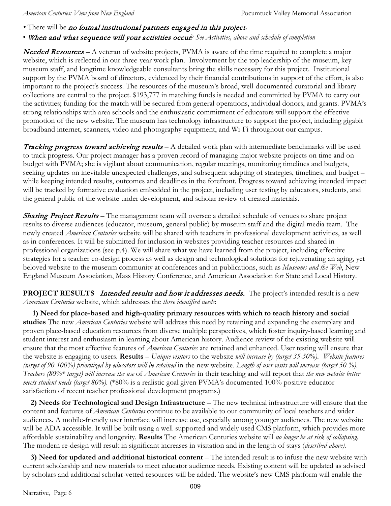- There will be no formal institutional partners engaged in this project**.**
- When and what sequence will your activities occur? *See Activities, above and schedule of completion*

**Needed Resources** – A veteran of website projects, PVMA is aware of the time required to complete a major website, which is reflected in our three-year work plan. Involvement by the top leadership of the museum, key museum staff, and longtime knowledgeable consultants bring the skills necessary for this project. Institutional support by the PVMA board of directors, evidenced by their financial contributions in support of the effort, is also important to the project's success. The resources of the museum's broad, well-documented curatorial and library collections are central to the project. \$193,777 in matching funds is needed and committed by PVMA to carry out the activities; funding for the match will be secured from general operations, individual donors, and grants. PVMA's strong relationships with area schools and the enthusiastic commitment of educators will support the effective promotion of the new website. The museum has technology infrastructure to support the project, including gigabit broadband internet, scanners, video and photography equipment, and Wi-Fi throughout our campus.

**Tracking progress toward achieving results** – A detailed work plan with intermediate benchmarks will be used to track progress. Our project manager has a proven record of managing major website projects on time and on budget with PVMA; she is vigilant about communication, regular meetings, monitoring timelines and budgets, seeking updates on inevitable unexpected challenges, and subsequent adapting of strategies, timelines, and budget – while keeping intended results, outcomes and deadlines in the forefront. Progress toward achieving intended impact will be tracked by formative evaluation embedded in the project, including user testing by educators, students, and the general public of the website under development, and scholar review of created materials.

**Sharing Project Results** – The management team will oversee a detailed schedule of venues to share project results to diverse audiences (educator, museum, general public) by museum staff and the digital media team. The newly created *American Centuries* website will be shared with teachers in professional development activities, as well as in conferences. It will be submitted for inclusion in websites providing teacher resources and shared in professional organizations (see p.4). We will share what we have learned from the project, including effective strategies for a teacher co-design process as well as design and technological solutions for rejuvenating an aging, yet beloved website to the museum community at conferences and in publications, such as *Museums and the Web*, New England Museum Association, Mass History Conference, and American Association for State and Local History.

**PROJECT RESULTS** *Intended results and how it addresses needs.* The project's intended result is a new *American Centuries* website, which addresses the *three identified needs*:

 **1) Need for place-based and high-quality primary resources with which to teach history and social studies** The new *American Centuries* website will address this need by retaining and expanding the exemplary and proven place-based education resources from diverse multiple perspectives, which foster inquiry-based learning and student interest and enthusiasm in learning about American history. Audience review of the existing website will ensure that the most effective features of *American Centuries* are retained and enhanced. User testing will ensure that the website is engaging to users. **Results** – *Unique visitors* to the website *will increase by (target 35-50%). Website features (target of 90-100%) prioritized by educators will be retained* in the new website. *Length of user visits will increase (target 50 %). Teachers (80%\* target) will increase the use* of *American Centuries* in their teaching and will report that *the new website better meets student needs (target 80%).* (\*80% is a realistic goal given PVMA's documented 100% positive educator satisfaction of recent teacher professional development programs.)

 **2) Needs for Technological and Design Infrastructure** – The new technical infrastructure will ensure that the content and features of *American Centuries* continue to be available to our community of local teachers and wider audiences. A mobile-friendly user interface will increase use, especially among younger audiences. The new website will be ADA accessible. It will be built using a well-supported and widely used CMS platform, which provides more affordable sustainability and longevity. **Results** The American Centuries website will *no longer be at risk of collapsing*. The modern re-design will result in significant increases in visitation and in the length of stays (*described above).*

 **3) Need for updated and additional historical content** – The intended result is to infuse the new website with current scholarship and new materials to meet educator audience needs. Existing content will be updated as advised by scholars and additional scholar-vetted resources will be added. The website's new CMS platform will enable the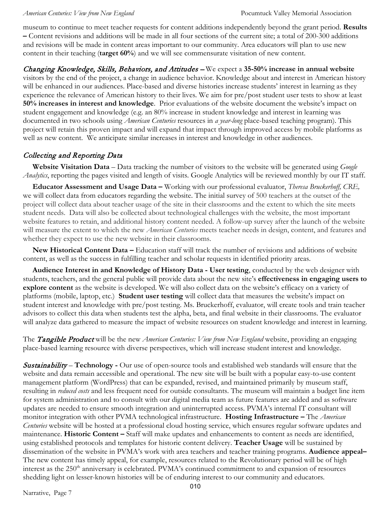museum to continue to meet teacher requests for content additions independently beyond the grant period. **Results –** Content revisions and additions will be made in all four sections of the current site; a total of 200-300 additions and revisions will be made in content areas important to our community. Area educators will plan to use new content in their teaching (**target 60%**) and we will see commensurate visitation of new content.

Changing Knowledge, Skills, Behaviors, and Attitudes – We expect a **35-50% increase in annual website** visitors by the end of the project, a change in audience behavior. Knowledge about and interest in American history will be enhanced in our audiences. Place-based and diverse histories increase students' interest in learning as they experience the relevance of American history to their lives*.* We aim for pre/post student user tests to show at least **50% increases in interest and knowledge**. Prior evaluations of the website document the website's impact on student engagement and knowledge (e.g. an 80% increase in student knowledge and interest in learning was documented in two schools using *American Centuries* resources in *a year-long* place-based teaching program). This project will retain this proven impact and will expand that impact through improved access by mobile platforms as well as new content. We anticipate similar increases in interest and knowledge in other audiences.

## Collecting and Reporting Data

 **Website Visitation Data** – Data tracking the number of visitors to the website will be generated using *Google Analytics*, reporting the pages visited and length of visits. Google Analytics will be reviewed monthly by our IT staff.

 **Educator Assessment and Usage Data –** Working with our professional evaluator, *Theresa Bruckerhoff, CRE,* we will collect data from educators regarding the website. The initial survey of 500 teachers at the outset of the project will collect data about teacher usage of the site in their classrooms and the extent to which the site meets student needs. Data will also be collected about technological challenges with the website, the most important website features to retain, and additional history content needed. A follow-up survey after the launch of the website will measure the extent to which the new *American Centuries* meets teacher needs in design, content, and features and whether they expect to use the new website in their classrooms.

 **New Historical Content Data –** Education staff will track the number of revisions and additions of website content, as well as the success in fulfilling teacher and scholar requests in identified priority areas.

 **Audience Interest in and Knowledge of History Data - User testing**, conducted by the web designer with students, teachers, and the general public will provide data about the new site's **effectiveness in engaging users to explore content** as the website is developed. We will also collect data on the website's efficacy on a variety of platforms (mobile, laptop, etc.) **Student user testing** will collect data that measures the website's impact on student interest and knowledge with pre/post testing. Ms. Bruckerhoff, evaluator, will create tools and train teacher advisors to collect this data when students test the alpha, beta, and final website in their classrooms. The evaluator will analyze data gathered to measure the impact of website resources on student knowledge and interest in learning.

The Tangible Product will be the new *American Centuries: View from New England* website, providing an engaging place-based learning resource with diverse perspectives, which will increase student interest and knowledge.

Sustainability – **Technology -** Our use of open-source tools and established web standards will ensure that the website and data remain accessible and operational. The new site will be built with a popular easy-to-use content management platform (WordPress) that can be expanded, revised, and maintained primarily by museum staff, resulting in *reduced costs* and less frequent need for outside consultants. The museum will maintain a budget line item for system administration and to consult with our digital media team as future features are added and as software updates are needed to ensure smooth integration and uninterrupted access. PVMA's internal IT consultant will monitor integration with other PVMA technological infrastructure. **Hosting Infrastructure –** The *American Centuries* website will be hosted at a professional cloud hosting service, which ensures regular software updates and maintenance. **Historic Content –** Staff will make updates and enhancements to content as needs are identified, using established protocols and templates for historic content delivery. **Teacher Usage** will be sustained by dissemination of the website in PVMA's work with area teachers and teacher training programs. **Audience appeal–**  The new content has timely appeal, for example, resources related to the Revolutionary period will be of high interest as the 250<sup>th</sup> anniversary is celebrated. PVMA's continued commitment to and expansion of resources shedding light on lesser-known histories will be of enduring interest to our community and educators.

Narrative, Page 7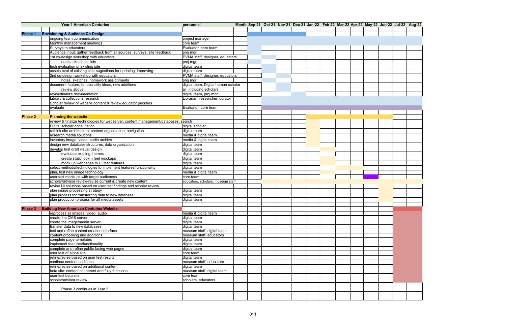|                | <b>Year 1 American Centuries</b>                                                   | personnel                                             |  |  |  | Month: Sep-21 Oct-21 Nov-21 Dec-21 Jan-22 Feb-22 Mar-22 Apr-22 May-22 Jun-22 Jul-22 Aug-22 |  |  |
|----------------|------------------------------------------------------------------------------------|-------------------------------------------------------|--|--|--|--------------------------------------------------------------------------------------------|--|--|
|                |                                                                                    |                                                       |  |  |  |                                                                                            |  |  |
| <b>Phase 1</b> | <b>Envisioning &amp; Audience Co-Design</b>                                        |                                                       |  |  |  |                                                                                            |  |  |
|                | ongoing team communication                                                         | project manager                                       |  |  |  |                                                                                            |  |  |
|                | Monthly management meetings                                                        | core team                                             |  |  |  |                                                                                            |  |  |
|                | Surveys to educators                                                               | Evaluator, core team                                  |  |  |  |                                                                                            |  |  |
|                | Audience input: gather feedback from all sources: surveys, site feedback           | proj mgr                                              |  |  |  |                                                                                            |  |  |
|                | 1st co-design workshop with educators                                              | PVMA staff, designer, educators                       |  |  |  |                                                                                            |  |  |
|                | notes, sketches, lists                                                             | proj mgr                                              |  |  |  |                                                                                            |  |  |
|                | tech evaluation of existing site                                                   | digital team                                          |  |  |  |                                                                                            |  |  |
|                | assets eval of existing site- sugestions for updating, improving                   | digital team                                          |  |  |  |                                                                                            |  |  |
|                | 2nd co-design workshop with educators                                              | PVMA staff, designer, educators                       |  |  |  |                                                                                            |  |  |
|                | notes, sketches, homework assignments                                              | proj mgr                                              |  |  |  |                                                                                            |  |  |
|                | document feature, functionality ideas, new additions                               | digital team, Digital human scholar                   |  |  |  |                                                                                            |  |  |
|                | review above                                                                       | all, including scholars                               |  |  |  |                                                                                            |  |  |
|                | revise/finalize documentation                                                      | digital team, proj mgr                                |  |  |  |                                                                                            |  |  |
|                | Library & collections research                                                     | Librarian, researcher, curator                        |  |  |  |                                                                                            |  |  |
|                | Scholar review of website content & review educator priorities                     |                                                       |  |  |  |                                                                                            |  |  |
|                | evaluate                                                                           | Evaluator, core team                                  |  |  |  |                                                                                            |  |  |
|                |                                                                                    |                                                       |  |  |  |                                                                                            |  |  |
| <b>Phase 2</b> | <b>Planning the website</b>                                                        |                                                       |  |  |  |                                                                                            |  |  |
|                | review & finalize technologies for webserver, content management/databases, search |                                                       |  |  |  |                                                                                            |  |  |
|                | Digital scholar consultation                                                       | digital scholar                                       |  |  |  |                                                                                            |  |  |
|                | rethink site architecture: content organization, navigation                        | digital team                                          |  |  |  |                                                                                            |  |  |
|                | research media solutions                                                           | media & digital team                                  |  |  |  |                                                                                            |  |  |
|                | inventory image, video, audio archive                                              | media & digital team                                  |  |  |  |                                                                                            |  |  |
|                | design new database structures, data organization                                  | digital team                                          |  |  |  |                                                                                            |  |  |
|                | develop first draft visual design                                                  | digital team                                          |  |  |  |                                                                                            |  |  |
|                | evalutate existing themes                                                          | digital team                                          |  |  |  |                                                                                            |  |  |
|                | create static look n feel mockups                                                  | digital team                                          |  |  |  |                                                                                            |  |  |
|                | mock up webpages to UI test features                                               | digital team                                          |  |  |  |                                                                                            |  |  |
|                | select methods/technologies to implement features/functionality                    | digital team                                          |  |  |  |                                                                                            |  |  |
|                | plan, test new image technology                                                    | media & digital team                                  |  |  |  |                                                                                            |  |  |
|                | user test mockups with target audiences                                            | core team                                             |  |  |  |                                                                                            |  |  |
|                | scholar/advisor review-revise current & create new content                         | educators, scholars, museum staff                     |  |  |  |                                                                                            |  |  |
|                | revise UI solutions based on user test findings and scholar review                 |                                                       |  |  |  |                                                                                            |  |  |
|                | plan image processing strategy                                                     | digital team                                          |  |  |  |                                                                                            |  |  |
|                | plan process for transferring data to new database                                 | digital team                                          |  |  |  |                                                                                            |  |  |
|                | plan production process for all media assets                                       | digital team                                          |  |  |  |                                                                                            |  |  |
|                |                                                                                    |                                                       |  |  |  |                                                                                            |  |  |
| Phase 3        | <b>Building New American Centuries Website</b>                                     |                                                       |  |  |  |                                                                                            |  |  |
|                | reprocess all images, video, audio                                                 | media & digital team                                  |  |  |  |                                                                                            |  |  |
|                | create the CMS server                                                              | digital team                                          |  |  |  |                                                                                            |  |  |
|                | create the image/media server                                                      | digital team                                          |  |  |  |                                                                                            |  |  |
|                | transfer data to new databases                                                     | digital team                                          |  |  |  |                                                                                            |  |  |
|                | test and refine content creation interface                                         | museum staff, digital team<br>museum staff, educators |  |  |  |                                                                                            |  |  |
|                | content grooming and additions                                                     |                                                       |  |  |  |                                                                                            |  |  |
|                | complete page templates<br>implement features/functionality                        | digital team<br>digital team                          |  |  |  |                                                                                            |  |  |
|                | complete and refine public-facing web pages                                        | digital team                                          |  |  |  |                                                                                            |  |  |
|                | user test of alpha site                                                            | core team                                             |  |  |  |                                                                                            |  |  |
|                | refine/revise based on user test results                                           | digital team                                          |  |  |  |                                                                                            |  |  |
|                | continue content additions                                                         | museum staff, educators                               |  |  |  |                                                                                            |  |  |
|                | refine/revise based on additional content                                          | digital team                                          |  |  |  |                                                                                            |  |  |
|                | beta site: content conherent and fully functional                                  | museum staff, digital team                            |  |  |  |                                                                                            |  |  |
|                | user test beta site                                                                | core team                                             |  |  |  |                                                                                            |  |  |
|                | scholar/advisor review                                                             | scholars, educators                                   |  |  |  |                                                                                            |  |  |
|                |                                                                                    |                                                       |  |  |  |                                                                                            |  |  |
|                | Phase 3 continues in Year 2                                                        |                                                       |  |  |  |                                                                                            |  |  |
|                |                                                                                    |                                                       |  |  |  |                                                                                            |  |  |
|                |                                                                                    |                                                       |  |  |  |                                                                                            |  |  |
|                |                                                                                    |                                                       |  |  |  |                                                                                            |  |  |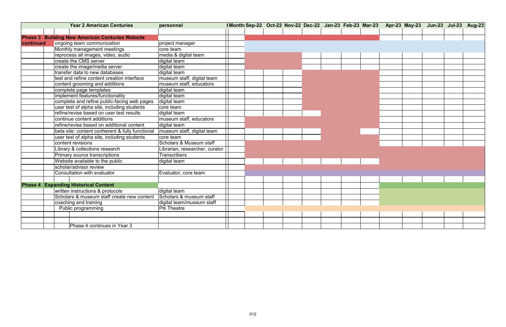|           | <b>Year 2 American Centuries</b>                       | personnel                          |  |  |  | I Month: Sep-22 Oct-22 Nov-22 Dec-22 Jan-23 Feb-23 Mar-23 | Apr-23 May-23 Jun-23 Jul-23 Aug-23 |  |  |
|-----------|--------------------------------------------------------|------------------------------------|--|--|--|-----------------------------------------------------------|------------------------------------|--|--|
|           |                                                        |                                    |  |  |  |                                                           |                                    |  |  |
|           | <b>Phase 3 Building New American Centuries Website</b> |                                    |  |  |  |                                                           |                                    |  |  |
| continued | ongoing team communication                             | project manager                    |  |  |  |                                                           |                                    |  |  |
|           | Monthly management meetings                            | core team                          |  |  |  |                                                           |                                    |  |  |
|           | reprocess all images, video, audio                     | media & digital team               |  |  |  |                                                           |                                    |  |  |
|           | create the CMS server                                  | digital team                       |  |  |  |                                                           |                                    |  |  |
|           | create the image/media server                          | digital team                       |  |  |  |                                                           |                                    |  |  |
|           | transfer data to new databases                         | digital team                       |  |  |  |                                                           |                                    |  |  |
|           | test and refine content creation interface             | museum staff, digital team         |  |  |  |                                                           |                                    |  |  |
|           | content grooming and additions                         | museum staff, educators            |  |  |  |                                                           |                                    |  |  |
|           | complete page templates                                | digital team                       |  |  |  |                                                           |                                    |  |  |
|           | implement features/functionality                       | digital team                       |  |  |  |                                                           |                                    |  |  |
|           | complete and refine public-facing web pages            | digital team                       |  |  |  |                                                           |                                    |  |  |
|           | user test of alpha site, including students            | core team                          |  |  |  |                                                           |                                    |  |  |
|           | refine/revise based on user test results               | digital team                       |  |  |  |                                                           |                                    |  |  |
|           | continue content additions                             | museum staff, educators            |  |  |  |                                                           |                                    |  |  |
|           | refine/revise based on additional content              | digital team                       |  |  |  |                                                           |                                    |  |  |
|           | beta site: content conherent & fully functional        | museum staff, digital team         |  |  |  |                                                           |                                    |  |  |
|           | user test of alpha site, including students            | core team                          |  |  |  |                                                           |                                    |  |  |
|           | content revisions                                      | <b>Scholars &amp; Museum staff</b> |  |  |  |                                                           |                                    |  |  |
|           | Library & collections research                         | Librarian, researcher, curator     |  |  |  |                                                           |                                    |  |  |
|           | Primary source transcriptions                          | <b>Transcribers</b>                |  |  |  |                                                           |                                    |  |  |
|           | Website available to the public                        | digital team                       |  |  |  |                                                           |                                    |  |  |
|           | scholar/advisor review                                 |                                    |  |  |  |                                                           |                                    |  |  |
|           | Consultation with evaluator                            | Evaluator, core team               |  |  |  |                                                           |                                    |  |  |
|           |                                                        |                                    |  |  |  |                                                           |                                    |  |  |
|           | <b>Phase 4 Expanding Historical Content</b>            |                                    |  |  |  |                                                           |                                    |  |  |
|           | written instructions & protocols                       | digital team                       |  |  |  |                                                           |                                    |  |  |
|           | Scholars & museum staff create new content             | Scholars & museum staff            |  |  |  |                                                           |                                    |  |  |
|           | coaching and training                                  | digital team/museum staff          |  |  |  |                                                           |                                    |  |  |
|           | Public programming                                     | <b>Piti Theatre</b>                |  |  |  |                                                           |                                    |  |  |
|           |                                                        |                                    |  |  |  |                                                           |                                    |  |  |
|           |                                                        |                                    |  |  |  |                                                           |                                    |  |  |
|           | Phase 4 continues in Year 3                            |                                    |  |  |  |                                                           |                                    |  |  |